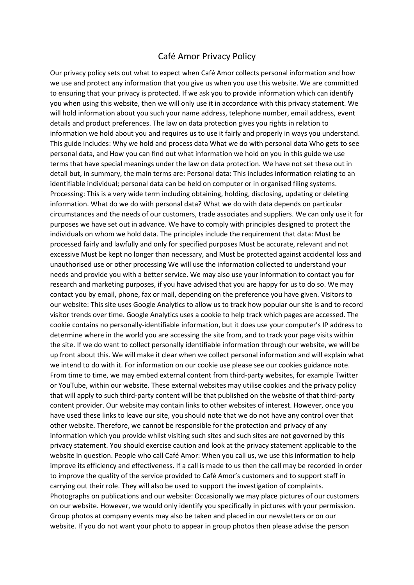## Café Amor Privacy Policy

Our privacy policy sets out what to expect when Café Amor collects personal information and how we use and protect any information that you give us when you use this website. We are committed to ensuring that your privacy is protected. If we ask you to provide information which can identify you when using this website, then we will only use it in accordance with this privacy statement. We will hold information about you such your name address, telephone number, email address, event details and product preferences. The law on data protection gives you rights in relation to information we hold about you and requires us to use it fairly and properly in ways you understand. This guide includes: Why we hold and process data What we do with personal data Who gets to see personal data, and How you can find out what information we hold on you in this guide we use terms that have special meanings under the law on data protection. We have not set these out in detail but, in summary, the main terms are: Personal data: This includes information relating to an identifiable individual; personal data can be held on computer or in organised filing systems. Processing: This is a very wide term including obtaining, holding, disclosing, updating or deleting information. What do we do with personal data? What we do with data depends on particular circumstances and the needs of our customers, trade associates and suppliers. We can only use it for purposes we have set out in advance. We have to comply with principles designed to protect the individuals on whom we hold data. The principles include the requirement that data: Must be processed fairly and lawfully and only for specified purposes Must be accurate, relevant and not excessive Must be kept no longer than necessary, and Must be protected against accidental loss and unauthorised use or other processing We will use the information collected to understand your needs and provide you with a better service. We may also use your information to contact you for research and marketing purposes, if you have advised that you are happy for us to do so. We may contact you by email, phone, fax or mail, depending on the preference you have given. Visitors to our website: This site uses Google Analytics to allow us to track how popular our site is and to record visitor trends over time. Google Analytics uses a cookie to help track which pages are accessed. The cookie contains no personally-identifiable information, but it does use your computer's IP address to determine where in the world you are accessing the site from, and to track your page visits within the site. If we do want to collect personally identifiable information through our website, we will be up front about this. We will make it clear when we collect personal information and will explain what we intend to do with it. For information on our cookie use please see our cookies guidance note. From time to time, we may embed external content from third-party websites, for example Twitter or YouTube, within our website. These external websites may utilise cookies and the privacy policy that will apply to such third-party content will be that published on the website of that third-party content provider. Our website may contain links to other websites of interest. However, once you have used these links to leave our site, you should note that we do not have any control over that other website. Therefore, we cannot be responsible for the protection and privacy of any information which you provide whilst visiting such sites and such sites are not governed by this privacy statement. You should exercise caution and look at the privacy statement applicable to the website in question. People who call Café Amor: When you call us, we use this information to help improve its efficiency and effectiveness. If a call is made to us then the call may be recorded in order to improve the quality of the service provided to Café Amor's customers and to support staff in carrying out their role. They will also be used to support the investigation of complaints. Photographs on publications and our website: Occasionally we may place pictures of our customers on our website. However, we would only identify you specifically in pictures with your permission. Group photos at company events may also be taken and placed in our newsletters or on our website. If you do not want your photo to appear in group photos then please advise the person